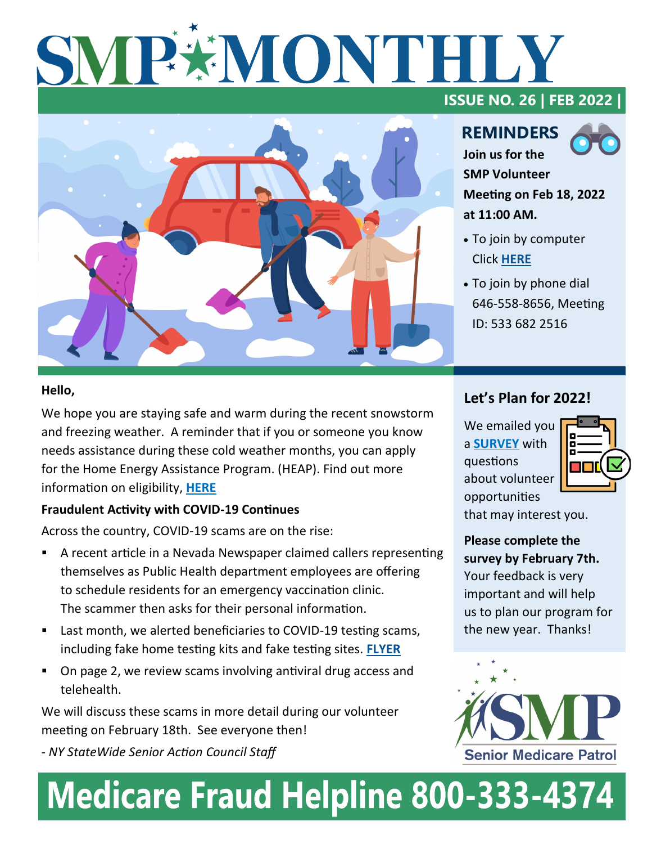# SMPXMONTHL



#### **ISSUE NO. 26 | FEB 2022 |**

**REMINDERS Join us for the** 



**SMP Volunteer Meeting on Feb 18, 2022 at 11:00 AM.** 

- To join by computer Click **[HERE](https://us02web.zoom.us/j/5336822516)**
- To join by phone dial 646-558-8656, Meeting ID: 533 682 2516

#### **Hello,**

We hope you are staying safe and warm during the recent snowstorm and freezing weather. A reminder that if you or someone you know needs assistance during these cold weather months, you can apply for the Home Energy Assistance Program. (HEAP). Find out more information on eligibility, **[HERE](https://www.ny.gov/helping-new-yorkers-keep-heat)**

#### **Fraudulent Activity with COVID-19 Continues**

Across the country, COVID-19 scams are on the rise:

- A recent article in a Nevada Newspaper claimed callers representing themselves as Public Health department employees are offering to schedule residents for an emergency vaccination clinic. The scammer then asks for their personal information.
- Last month, we alerted beneficiaries to COVID-19 testing scams, including fake home testing kits and fake testing sites. **[FLYER](https://www.nysenior.org/wp-content/uploads/2022/01/COVID-19-Fake-Testing-and-Pop-Up-Sites-Flyer-Alert.pdf)**
- On page 2, we review scams involving antiviral drug access and telehealth.

We will discuss these scams in more detail during our volunteer meeting on February 18th. See everyone then!

- *NY StateWide Senior Action Council Staff*

#### **Let's Plan for 2022!**

We emailed you a **[SURVEY](https://form.jotform.com/220265547892160)** with questions about volunteer opportunities



that may interest you.

**Please complete the survey by February 7th.**  Your feedback is very important and will help us to plan our program for the new year. Thanks!



## **Medicare Fraud Helpline 800-333-4374**